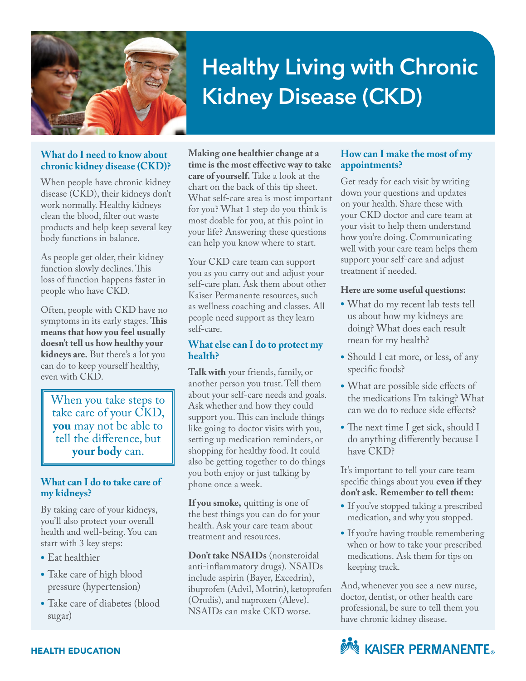

# **Healthy Living with Chronic Kidney Disease (CKD)**

#### **What do I need to know about chronic kidney disease (CKD)?**

When people have chronic kidney disease (CKD), their kidneys don't work normally. Healthy kidneys clean the blood, filter out waste products and help keep several key body functions in balance.

As people get older, their kidney function slowly declines. This loss of function happens faster in people who have CKD.

Often, people with CKD have no symptoms in its early stages. **This means that how you feel usually doesn't tell us how healthy your kidneys are.** But there's a lot you can do to keep yourself healthy, even with CKD.

When you take steps to take care of your CKD, **you** may not be able to tell the difference, but **your body** can.

#### **What can I do to take care of my kidneys?**

By taking care of your kidneys, you'll also protect your overall health and well-being. You can start with 3 key steps:

- **•** Eat healthier
- **•** Take care of high blood pressure (hypertension)
- **•** Take care of diabetes (blood sugar)

**Making one healthier change at a time is the most effective way to take care of yourself.** Take a look at the chart on the back of this tip sheet. What self-care area is most important for you? What 1 step do you think is most doable for you, at this point in your life? Answering these questions can help you know where to start.

Your CKD care team can support you as you carry out and adjust your self-care plan. Ask them about other Kaiser Permanente resources, such as wellness coaching and classes. All people need support as they learn self-care.

#### **What else can I do to protect my health?**

**Talk with** your friends, family, or another person you trust. Tell them about your self-care needs and goals. Ask whether and how they could support you. This can include things like going to doctor visits with you, setting up medication reminders, or shopping for healthy food. It could also be getting together to do things you both enjoy or just talking by phone once a week.

**If you smoke,** quitting is one of the best things you can do for your health. Ask your care team about treatment and resources.

**Don't take NSAIDs** (nonsteroidal anti-inflammatory drugs). NSAIDs include aspirin (Bayer, Excedrin), ibuprofen (Advil, Motrin), ketoprofen (Orudis), and naproxen (Aleve). NSAIDs can make CKD worse.

#### **How can I make the most of my appointments?**

Get ready for each visit by writing down your questions and updates on your health. Share these with your CKD doctor and care team at your visit to help them understand how you're doing. Communicating well with your care team helps them support your self-care and adjust treatment if needed.

#### **Here are some useful questions:**

- **•** What do my recent lab tests tell us about how my kidneys are doing? What does each result mean for my health?
- Should I eat more, or less, of any specific foods?
- **•** What are possible side effects of the medications I'm taking? What can we do to reduce side effects?
- The next time I get sick, should I do anything differently because I have CKD?

It's important to tell your care team specific things about you **even if they don't ask. Remember to tell them:**

- **•** If you've stopped taking a prescribed medication, and why you stopped.
- **•** If you're having trouble remembering when or how to take your prescribed medications. Ask them for tips on keeping track.

And, whenever you see a new nurse, doctor, dentist, or other health care professional, be sure to tell them you have chronic kidney disease.